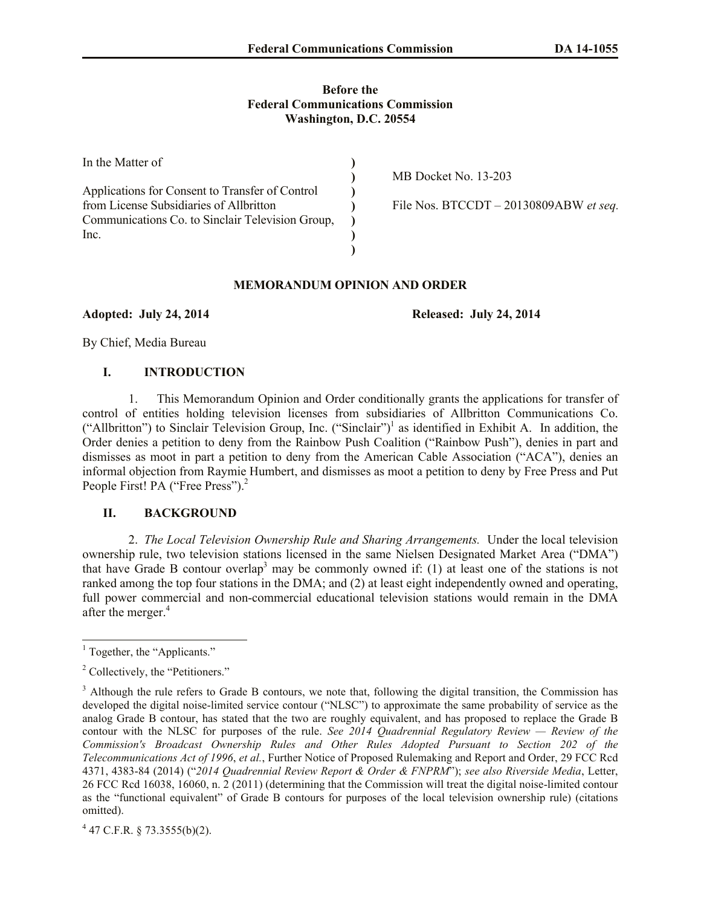#### **Before the Federal Communications Commission Washington, D.C. 20554**

| In the Matter of                                 |                                          |
|--------------------------------------------------|------------------------------------------|
|                                                  | MB Docket No. 13-203                     |
| Applications for Consent to Transfer of Control  |                                          |
| from License Subsidiaries of Allbritton          | File Nos. BTCCDT $- 20130809ABW$ et seq. |
| Communications Co. to Sinclair Television Group, |                                          |
| Inc.                                             |                                          |
|                                                  |                                          |

# **MEMORANDUM OPINION AND ORDER**

**Adopted: July 24, 2014 Released: July 24, 2014**

By Chief, Media Bureau

# **I. INTRODUCTION**

1. This Memorandum Opinion and Order conditionally grants the applications for transfer of control of entities holding television licenses from subsidiaries of Allbritton Communications Co. ("Allbritton") to Sinclair Television Group, Inc. ("Sinclair")<sup>1</sup> as identified in Exhibit A. In addition, the Order denies a petition to deny from the Rainbow Push Coalition ("Rainbow Push"), denies in part and dismisses as moot in part a petition to deny from the American Cable Association ("ACA"), denies an informal objection from Raymie Humbert, and dismisses as moot a petition to deny by Free Press and Put People First! PA ("Free Press").<sup>2</sup>

# **II. BACKGROUND**

2. *The Local Television Ownership Rule and Sharing Arrangements.* Under the local television ownership rule, two television stations licensed in the same Nielsen Designated Market Area ("DMA") that have Grade B contour overlap<sup>3</sup> may be commonly owned if: (1) at least one of the stations is not ranked among the top four stations in the DMA; and (2) at least eight independently owned and operating, full power commercial and non-commercial educational television stations would remain in the DMA after the merger.<sup>4</sup>

 $4$  47 C.F.R. § 73.3555(b)(2).

 $\overline{a}$  $<sup>1</sup>$  Together, the "Applicants."</sup>

<sup>2</sup> Collectively, the "Petitioners."

<sup>&</sup>lt;sup>3</sup> Although the rule refers to Grade B contours, we note that, following the digital transition, the Commission has developed the digital noise-limited service contour ("NLSC") to approximate the same probability of service as the analog Grade B contour, has stated that the two are roughly equivalent, and has proposed to replace the Grade B contour with the NLSC for purposes of the rule. *See 2014 Quadrennial Regulatory Review — Review of the Commission's Broadcast Ownership Rules and Other Rules Adopted Pursuant to Section 202 of the Telecommunications Act of 1996*, *et al.*, Further Notice of Proposed Rulemaking and Report and Order, 29 FCC Rcd 4371, 4383-84 (2014) ("*2014 Quadrennial Review Report & Order & FNPRM*"); *see also Riverside Media*, Letter, 26 FCC Rcd 16038, 16060, n. 2 (2011) (determining that the Commission will treat the digital noise-limited contour as the "functional equivalent" of Grade B contours for purposes of the local television ownership rule) (citations omitted).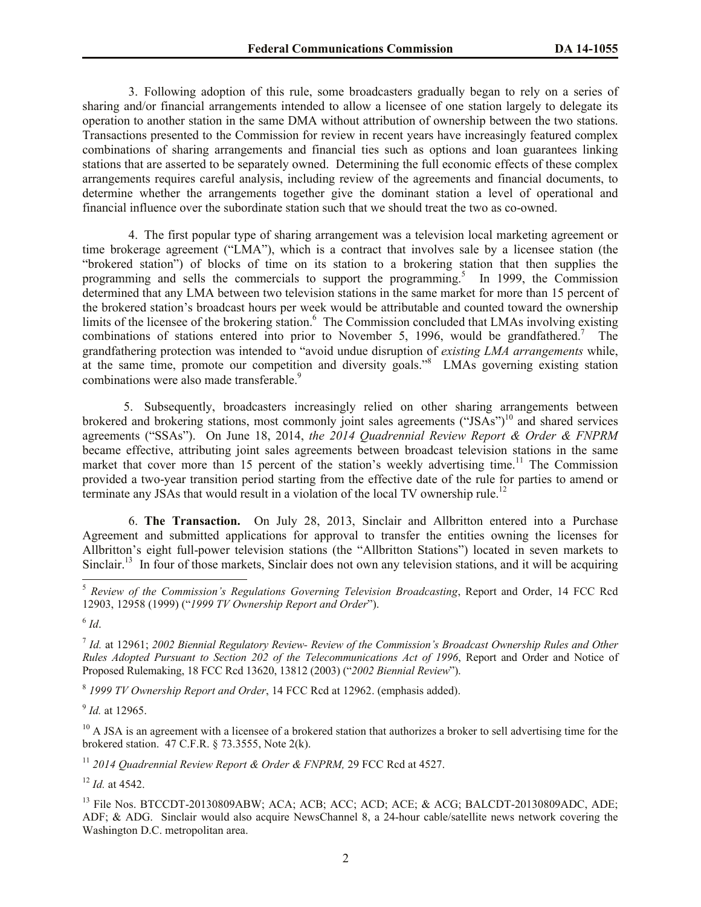3. Following adoption of this rule, some broadcasters gradually began to rely on a series of sharing and/or financial arrangements intended to allow a licensee of one station largely to delegate its operation to another station in the same DMA without attribution of ownership between the two stations. Transactions presented to the Commission for review in recent years have increasingly featured complex combinations of sharing arrangements and financial ties such as options and loan guarantees linking stations that are asserted to be separately owned. Determining the full economic effects of these complex arrangements requires careful analysis, including review of the agreements and financial documents, to determine whether the arrangements together give the dominant station a level of operational and financial influence over the subordinate station such that we should treat the two as co-owned.

4. The first popular type of sharing arrangement was a television local marketing agreement or time brokerage agreement ("LMA"), which is a contract that involves sale by a licensee station (the "brokered station") of blocks of time on its station to a brokering station that then supplies the programming and sells the commercials to support the programming.<sup>5</sup> In 1999, the Commission determined that any LMA between two television stations in the same market for more than 15 percent of the brokered station's broadcast hours per week would be attributable and counted toward the ownership limits of the licensee of the brokering station.<sup>6</sup> The Commission concluded that LMAs involving existing combinations of stations entered into prior to November 5, 1996, would be grandfathered.<sup>7</sup> The grandfathering protection was intended to "avoid undue disruption of *existing LMA arrangements* while, at the same time, promote our competition and diversity goals."<sup>8</sup> LMAs governing existing station combinations were also made transferable.<sup>9</sup>

5. Subsequently, broadcasters increasingly relied on other sharing arrangements between brokered and brokering stations, most commonly joint sales agreements ("JSAs")<sup>10</sup> and shared services agreements ("SSAs"). On June 18, 2014, *the 2014 Quadrennial Review Report & Order & FNPRM* became effective, attributing joint sales agreements between broadcast television stations in the same market that cover more than 15 percent of the station's weekly advertising time.<sup>11</sup> The Commission provided a two-year transition period starting from the effective date of the rule for parties to amend or terminate any JSAs that would result in a violation of the local TV ownership rule.<sup>12</sup>

6. **The Transaction.** On July 28, 2013, Sinclair and Allbritton entered into a Purchase Agreement and submitted applications for approval to transfer the entities owning the licenses for Allbritton's eight full-power television stations (the "Allbritton Stations") located in seven markets to Sinclair.<sup>13</sup> In four of those markets, Sinclair does not own any television stations, and it will be acquiring

 $\overline{a}$ 

8 *1999 TV Ownership Report and Order*, 14 FCC Rcd at 12962. (emphasis added).

9 *Id.* at 12965.

 $10$  A JSA is an agreement with a licensee of a brokered station that authorizes a broker to sell advertising time for the brokered station. 47 C.F.R. § 73.3555, Note 2(k).

<sup>11</sup> *2014 Quadrennial Review Report & Order & FNPRM,* 29 FCC Rcd at 4527.

<sup>12</sup> *Id.* at 4542.

<sup>5</sup> *Review of the Commission's Regulations Governing Television Broadcasting*, Report and Order, 14 FCC Rcd 12903, 12958 (1999) ("*1999 TV Ownership Report and Order*").

<sup>6</sup> *Id*.

<sup>7</sup> *Id.* at 12961; *2002 Biennial Regulatory Review- Review of the Commission's Broadcast Ownership Rules and Other Rules Adopted Pursuant to Section 202 of the Telecommunications Act of 1996*, Report and Order and Notice of Proposed Rulemaking, 18 FCC Rcd 13620, 13812 (2003) ("*2002 Biennial Review*").

<sup>&</sup>lt;sup>13</sup> File Nos. BTCCDT-20130809ABW; ACA; ACB; ACC; ACD; ACE; & ACG; BALCDT-20130809ADC, ADE; ADF; & ADG. Sinclair would also acquire NewsChannel 8, a 24-hour cable/satellite news network covering the Washington D.C. metropolitan area.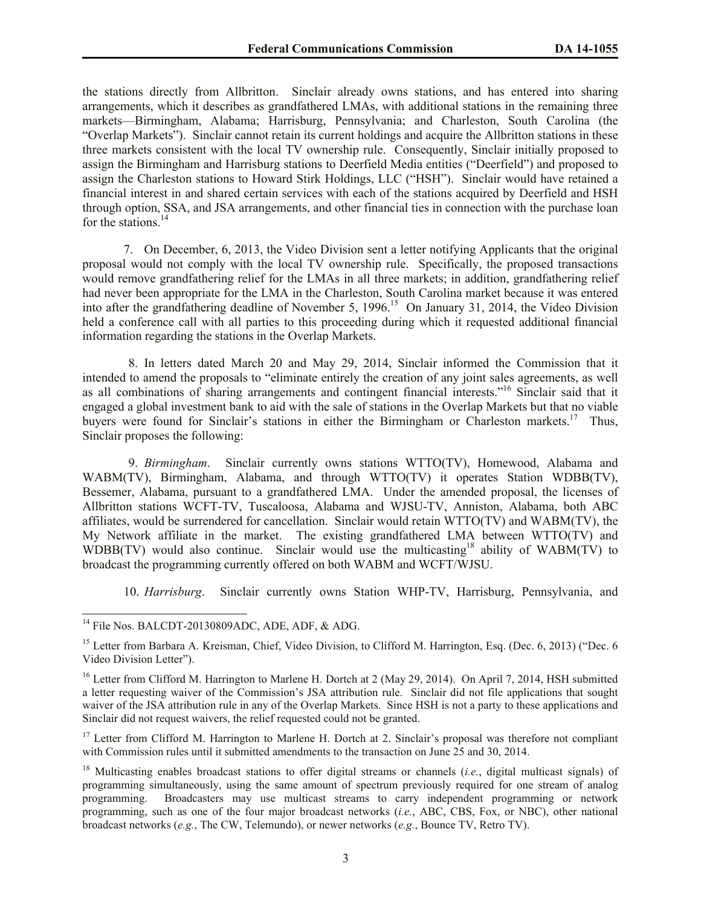the stations directly from Allbritton. Sinclair already owns stations, and has entered into sharing arrangements, which it describes as grandfathered LMAs, with additional stations in the remaining three markets—Birmingham, Alabama; Harrisburg, Pennsylvania; and Charleston, South Carolina (the "Overlap Markets"). Sinclair cannot retain its current holdings and acquire the Allbritton stations in these three markets consistent with the local TV ownership rule. Consequently, Sinclair initially proposed to assign the Birmingham and Harrisburg stations to Deerfield Media entities ("Deerfield") and proposed to assign the Charleston stations to Howard Stirk Holdings, LLC ("HSH"). Sinclair would have retained a financial interest in and shared certain services with each of the stations acquired by Deerfield and HSH through option, SSA, and JSA arrangements, and other financial ties in connection with the purchase loan for the stations. 14

7. On December, 6, 2013, the Video Division sent a letter notifying Applicants that the original proposal would not comply with the local TV ownership rule. Specifically, the proposed transactions would remove grandfathering relief for the LMAs in all three markets; in addition, grandfathering relief had never been appropriate for the LMA in the Charleston, South Carolina market because it was entered into after the grandfathering deadline of November 5, 1996. 15 On January 31, 2014, the Video Division held a conference call with all parties to this proceeding during which it requested additional financial information regarding the stations in the Overlap Markets.

8. In letters dated March 20 and May 29, 2014, Sinclair informed the Commission that it intended to amend the proposals to "eliminate entirely the creation of any joint sales agreements, as well as all combinations of sharing arrangements and contingent financial interests." <sup>16</sup> Sinclair said that it engaged a global investment bank to aid with the sale of stations in the Overlap Markets but that no viable buyers were found for Sinclair's stations in either the Birmingham or Charleston markets.<sup>17</sup> Thus, Sinclair proposes the following:

9. *Birmingham*. Sinclair currently owns stations WTTO(TV), Homewood, Alabama and WABM(TV), Birmingham, Alabama, and through WTTO(TV) it operates Station WDBB(TV), Bessemer, Alabama, pursuant to a grandfathered LMA. Under the amended proposal, the licenses of Allbritton stations WCFT-TV, Tuscaloosa, Alabama and WJSU-TV, Anniston, Alabama, both ABC affiliates, would be surrendered for cancellation. Sinclair would retain WTTO(TV) and WABM(TV), the My Network affiliate in the market. The existing grandfathered LMA between WTTO(TV) and WDBB(TV) would also continue. Sinclair would use the multicasting<sup>18</sup> ability of WABM(TV) to broadcast the programming currently offered on both WABM and WCFT/WJSU.

10. *Harrisburg*. Sinclair currently owns Station WHP-TV, Harrisburg, Pennsylvania, and

 $14$  File Nos. BALCDT-20130809ADC, ADE, ADF, & ADG.

<sup>&</sup>lt;sup>15</sup> Letter from Barbara A. Kreisman, Chief, Video Division, to Clifford M. Harrington, Esq. (Dec. 6, 2013) ("Dec. 6 Video Division Letter").

<sup>&</sup>lt;sup>16</sup> Letter from Clifford M. Harrington to Marlene H. Dortch at 2 (May 29, 2014). On April 7, 2014, HSH submitted a letter requesting waiver of the Commission's JSA attribution rule. Sinclair did not file applications that sought waiver of the JSA attribution rule in any of the Overlap Markets. Since HSH is not a party to these applications and Sinclair did not request waivers, the relief requested could not be granted.

 $17$  Letter from Clifford M. Harrington to Marlene H. Dortch at 2. Sinclair's proposal was therefore not compliant with Commission rules until it submitted amendments to the transaction on June 25 and 30, 2014.

<sup>&</sup>lt;sup>18</sup> Multicasting enables broadcast stations to offer digital streams or channels *(i.e.*, digital multicast signals) of programming simultaneously, using the same amount of spectrum previously required for one stream of analog programming. Broadcasters may use multicast streams to carry independent programming or network programming, such as one of the four major broadcast networks (*i.e.*, ABC, CBS, Fox, or NBC), other national broadcast networks (*e.g.*, The CW, Telemundo), or newer networks (*e.g.*, Bounce TV, Retro TV).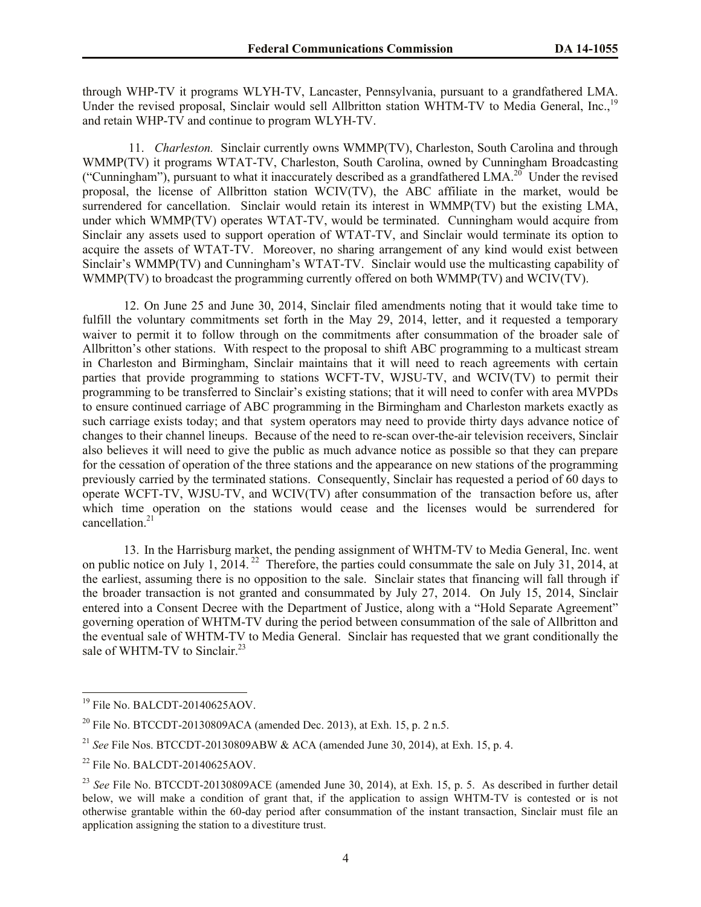through WHP-TV it programs WLYH-TV, Lancaster, Pennsylvania, pursuant to a grandfathered LMA. Under the revised proposal, Sinclair would sell Allbritton station WHTM-TV to Media General, Inc.,<sup>19</sup> and retain WHP-TV and continue to program WLYH-TV.

11. *Charleston.* Sinclair currently owns WMMP(TV), Charleston, South Carolina and through WMMP(TV) it programs WTAT-TV, Charleston, South Carolina, owned by Cunningham Broadcasting ("Cunningham"), pursuant to what it inaccurately described as a grandfathered LMA.<sup>20</sup> Under the revised proposal, the license of Allbritton station WCIV(TV), the ABC affiliate in the market, would be surrendered for cancellation. Sinclair would retain its interest in WMMP(TV) but the existing LMA, under which WMMP(TV) operates WTAT-TV, would be terminated. Cunningham would acquire from Sinclair any assets used to support operation of WTAT-TV, and Sinclair would terminate its option to acquire the assets of WTAT-TV. Moreover, no sharing arrangement of any kind would exist between Sinclair's WMMP(TV) and Cunningham's WTAT-TV. Sinclair would use the multicasting capability of WMMP(TV) to broadcast the programming currently offered on both WMMP(TV) and WCIV(TV).

12. On June 25 and June 30, 2014, Sinclair filed amendments noting that it would take time to fulfill the voluntary commitments set forth in the May 29, 2014, letter, and it requested a temporary waiver to permit it to follow through on the commitments after consummation of the broader sale of Allbritton's other stations. With respect to the proposal to shift ABC programming to a multicast stream in Charleston and Birmingham, Sinclair maintains that it will need to reach agreements with certain parties that provide programming to stations WCFT-TV, WJSU-TV, and WCIV(TV) to permit their programming to be transferred to Sinclair's existing stations; that it will need to confer with area MVPDs to ensure continued carriage of ABC programming in the Birmingham and Charleston markets exactly as such carriage exists today; and that system operators may need to provide thirty days advance notice of changes to their channel lineups. Because of the need to re-scan over-the-air television receivers, Sinclair also believes it will need to give the public as much advance notice as possible so that they can prepare for the cessation of operation of the three stations and the appearance on new stations of the programming previously carried by the terminated stations. Consequently, Sinclair has requested a period of 60 days to operate WCFT-TV, WJSU-TV, and WCIV(TV) after consummation of the transaction before us, after which time operation on the stations would cease and the licenses would be surrendered for cancellation.<sup>21</sup>

13. In the Harrisburg market, the pending assignment of WHTM-TV to Media General, Inc. went on public notice on July 1, 2014.<sup>22</sup> Therefore, the parties could consummate the sale on July 31, 2014, at the earliest, assuming there is no opposition to the sale. Sinclair states that financing will fall through if the broader transaction is not granted and consummated by July 27, 2014. On July 15, 2014, Sinclair entered into a Consent Decree with the Department of Justice, along with a "Hold Separate Agreement" governing operation of WHTM-TV during the period between consummation of the sale of Allbritton and the eventual sale of WHTM-TV to Media General. Sinclair has requested that we grant conditionally the sale of WHTM-TV to Sinclair.<sup>23</sup>

<sup>&</sup>lt;sup>19</sup> File No. BALCDT-20140625AOV.

<sup>&</sup>lt;sup>20</sup> File No. BTCCDT-20130809ACA (amended Dec. 2013), at Exh. 15, p. 2 n.5.

<sup>21</sup> *See* File Nos. BTCCDT-20130809ABW & ACA (amended June 30, 2014), at Exh. 15, p. 4.

 $^{22}$  File No. BALCDT-20140625AOV.

<sup>&</sup>lt;sup>23</sup> See File No. BTCCDT-20130809ACE (amended June 30, 2014), at Exh. 15, p. 5. As described in further detail below, we will make a condition of grant that, if the application to assign WHTM-TV is contested or is not otherwise grantable within the 60-day period after consummation of the instant transaction, Sinclair must file an application assigning the station to a divestiture trust.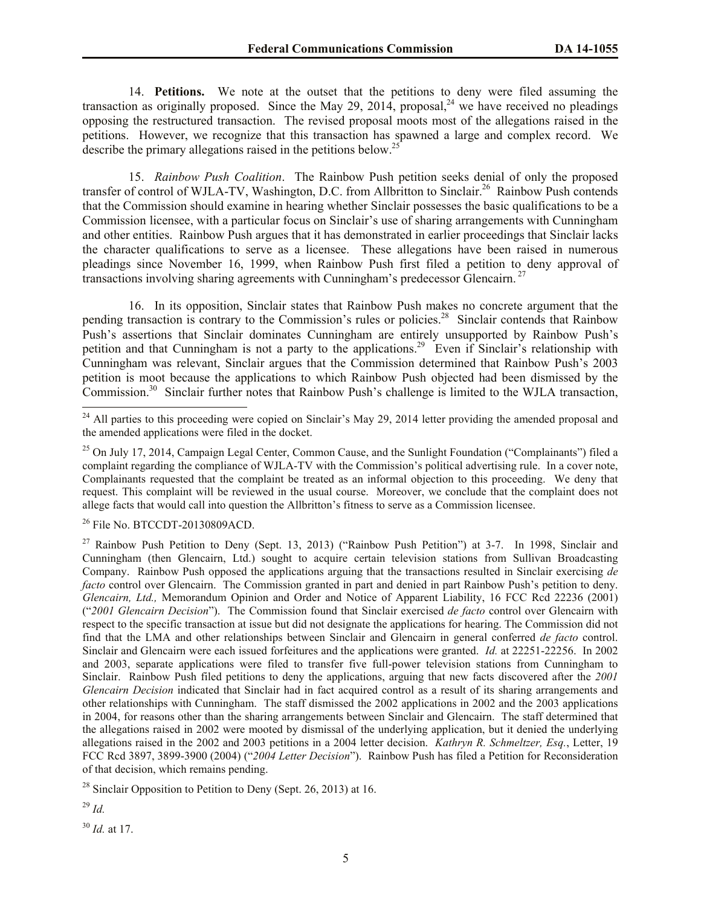14. **Petitions.** We note at the outset that the petitions to deny were filed assuming the transaction as originally proposed. Since the May 29, 2014, proposal, we have received no pleadings opposing the restructured transaction. The revised proposal moots most of the allegations raised in the petitions. However, we recognize that this transaction has spawned a large and complex record. We describe the primary allegations raised in the petitions below.<sup>25</sup>

15. *Rainbow Push Coalition*. The Rainbow Push petition seeks denial of only the proposed transfer of control of WJLA-TV, Washington, D.C. from Allbritton to Sinclair.<sup>26</sup> Rainbow Push contends that the Commission should examine in hearing whether Sinclair possesses the basic qualifications to be a Commission licensee, with a particular focus on Sinclair's use of sharing arrangements with Cunningham and other entities. Rainbow Push argues that it has demonstrated in earlier proceedings that Sinclair lacks the character qualifications to serve as a licensee. These allegations have been raised in numerous pleadings since November 16, 1999, when Rainbow Push first filed a petition to deny approval of transactions involving sharing agreements with Cunningham's predecessor Glencairn. <sup>27</sup>

16. In its opposition, Sinclair states that Rainbow Push makes no concrete argument that the pending transaction is contrary to the Commission's rules or policies.<sup>28</sup> Sinclair contends that Rainbow Push's assertions that Sinclair dominates Cunningham are entirely unsupported by Rainbow Push's petition and that Cunningham is not a party to the applications.<sup>29</sup> Even if Sinclair's relationship with Cunningham was relevant, Sinclair argues that the Commission determined that Rainbow Push's 2003 petition is moot because the applications to which Rainbow Push objected had been dismissed by the Commission.<sup>30</sup> Sinclair further notes that Rainbow Push's challenge is limited to the WJLA transaction,

<sup>26</sup> File No. BTCCDT-20130809ACD.

<sup>27</sup> Rainbow Push Petition to Deny (Sept. 13, 2013) ("Rainbow Push Petition") at 3-7. In 1998, Sinclair and Cunningham (then Glencairn, Ltd.) sought to acquire certain television stations from Sullivan Broadcasting Company. Rainbow Push opposed the applications arguing that the transactions resulted in Sinclair exercising *de facto* control over Glencairn. The Commission granted in part and denied in part Rainbow Push's petition to deny. *Glencairn, Ltd.,* Memorandum Opinion and Order and Notice of Apparent Liability, 16 FCC Rcd 22236 (2001) ("*2001 Glencairn Decision*"). The Commission found that Sinclair exercised *de facto* control over Glencairn with respect to the specific transaction at issue but did not designate the applications for hearing. The Commission did not find that the LMA and other relationships between Sinclair and Glencairn in general conferred *de facto* control. Sinclair and Glencairn were each issued forfeitures and the applications were granted. *Id.* at 22251-22256. In 2002 and 2003, separate applications were filed to transfer five full-power television stations from Cunningham to Sinclair. Rainbow Push filed petitions to deny the applications, arguing that new facts discovered after the *2001 Glencairn Decision* indicated that Sinclair had in fact acquired control as a result of its sharing arrangements and other relationships with Cunningham. The staff dismissed the 2002 applications in 2002 and the 2003 applications in 2004, for reasons other than the sharing arrangements between Sinclair and Glencairn. The staff determined that the allegations raised in 2002 were mooted by dismissal of the underlying application, but it denied the underlying allegations raised in the 2002 and 2003 petitions in a 2004 letter decision. *Kathryn R. Schmeltzer, Esq.*, Letter, 19 FCC Rcd 3897, 3899-3900 (2004) ("*2004 Letter Decision*"). Rainbow Push has filed a Petition for Reconsideration of that decision, which remains pending.

 $28$  Sinclair Opposition to Petition to Deny (Sept. 26, 2013) at 16.

<sup>29</sup> *Id.*

 $\overline{a}$ 

<sup>30</sup> *Id.* at 17.

<sup>&</sup>lt;sup>24</sup> All parties to this proceeding were copied on Sinclair's May 29, 2014 letter providing the amended proposal and the amended applications were filed in the docket.

<sup>&</sup>lt;sup>25</sup> On July 17, 2014, Campaign Legal Center, Common Cause, and the Sunlight Foundation ("Complainants") filed a complaint regarding the compliance of WJLA-TV with the Commission's political advertising rule. In a cover note, Complainants requested that the complaint be treated as an informal objection to this proceeding. We deny that request. This complaint will be reviewed in the usual course. Moreover, we conclude that the complaint does not allege facts that would call into question the Allbritton's fitness to serve as a Commission licensee.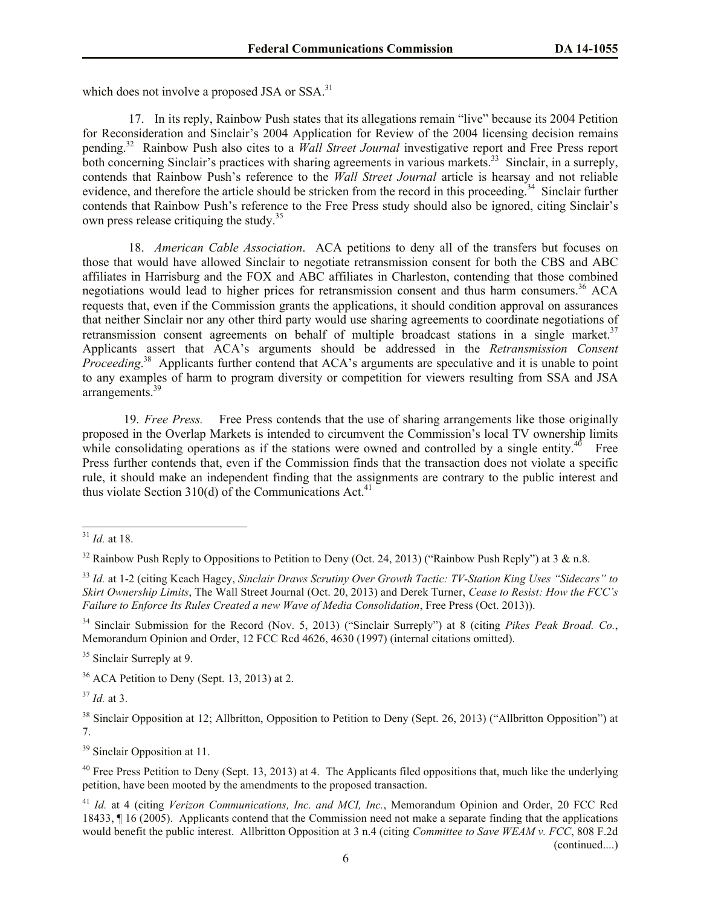which does not involve a proposed JSA or SSA.<sup>31</sup>

17. In its reply, Rainbow Push states that its allegations remain "live" because its 2004 Petition for Reconsideration and Sinclair's 2004 Application for Review of the 2004 licensing decision remains pending.<sup>32</sup> Rainbow Push also cites to a *Wall Street Journal* investigative report and Free Press report both concerning Sinclair's practices with sharing agreements in various markets.<sup>33</sup> Sinclair, in a surreply, contends that Rainbow Push's reference to the *Wall Street Journal* article is hearsay and not reliable evidence, and therefore the article should be stricken from the record in this proceeding.<sup>34</sup> Sinclair further contends that Rainbow Push's reference to the Free Press study should also be ignored, citing Sinclair's own press release critiquing the study.<sup>35</sup>

18. *American Cable Association*. ACA petitions to deny all of the transfers but focuses on those that would have allowed Sinclair to negotiate retransmission consent for both the CBS and ABC affiliates in Harrisburg and the FOX and ABC affiliates in Charleston, contending that those combined negotiations would lead to higher prices for retransmission consent and thus harm consumers. <sup>36</sup> ACA requests that, even if the Commission grants the applications, it should condition approval on assurances that neither Sinclair nor any other third party would use sharing agreements to coordinate negotiations of retransmission consent agreements on behalf of multiple broadcast stations in a single market.<sup>37</sup> Applicants assert that ACA's arguments should be addressed in the *Retransmission Consent Proceeding*.<sup>38</sup> Applicants further contend that ACA's arguments are speculative and it is unable to point to any examples of harm to program diversity or competition for viewers resulting from SSA and JSA arrangements.<sup>39</sup>

19. *Free Press.* Free Press contends that the use of sharing arrangements like those originally proposed in the Overlap Markets is intended to circumvent the Commission's local TV ownership limits while consolidating operations as if the stations were owned and controlled by a single entity.<sup>40</sup> Free Press further contends that, even if the Commission finds that the transaction does not violate a specific rule, it should make an independent finding that the assignments are contrary to the public interest and thus violate Section 310(d) of the Communications Act.<sup>41</sup>

 $\overline{a}$ 

<sup>34</sup> Sinclair Submission for the Record (Nov. 5, 2013) ("Sinclair Surreply") at 8 (citing *Pikes Peak Broad. Co.*, Memorandum Opinion and Order, 12 FCC Rcd 4626, 4630 (1997) (internal citations omitted).

<sup>35</sup> Sinclair Surreply at 9.

<sup>36</sup> ACA Petition to Deny (Sept. 13, 2013) at 2.

 $37$  *Id.* at 3.

<sup>38</sup> Sinclair Opposition at 12; Allbritton, Opposition to Petition to Deny (Sept. 26, 2013) ("Allbritton Opposition") at 7.

<sup>39</sup> Sinclair Opposition at 11.

 $40$  Free Press Petition to Deny (Sept. 13, 2013) at 4. The Applicants filed oppositions that, much like the underlying petition, have been mooted by the amendments to the proposed transaction.

<sup>41</sup> *Id.* at 4 (citing *Verizon Communications, Inc. and MCI, Inc.*, Memorandum Opinion and Order, 20 FCC Rcd 18433, ¶ 16 (2005). Applicants contend that the Commission need not make a separate finding that the applications would benefit the public interest. Allbritton Opposition at 3 n.4 (citing *Committee to Save WEAM v. FCC*, 808 F.2d (continued....)

<sup>31</sup> *Id.* at 18.

<sup>&</sup>lt;sup>32</sup> Rainbow Push Reply to Oppositions to Petition to Deny (Oct. 24, 2013) ("Rainbow Push Reply") at 3  $\&$  n.8.

<sup>33</sup> *Id.* at 1-2 (citing Keach Hagey, *Sinclair Draws Scrutiny Over Growth Tactic: TV-Station King Uses "Sidecars" to Skirt Ownership Limits*, The Wall Street Journal (Oct. 20, 2013) and Derek Turner, *Cease to Resist: How the FCC's Failure to Enforce Its Rules Created a new Wave of Media Consolidation*, Free Press (Oct. 2013)).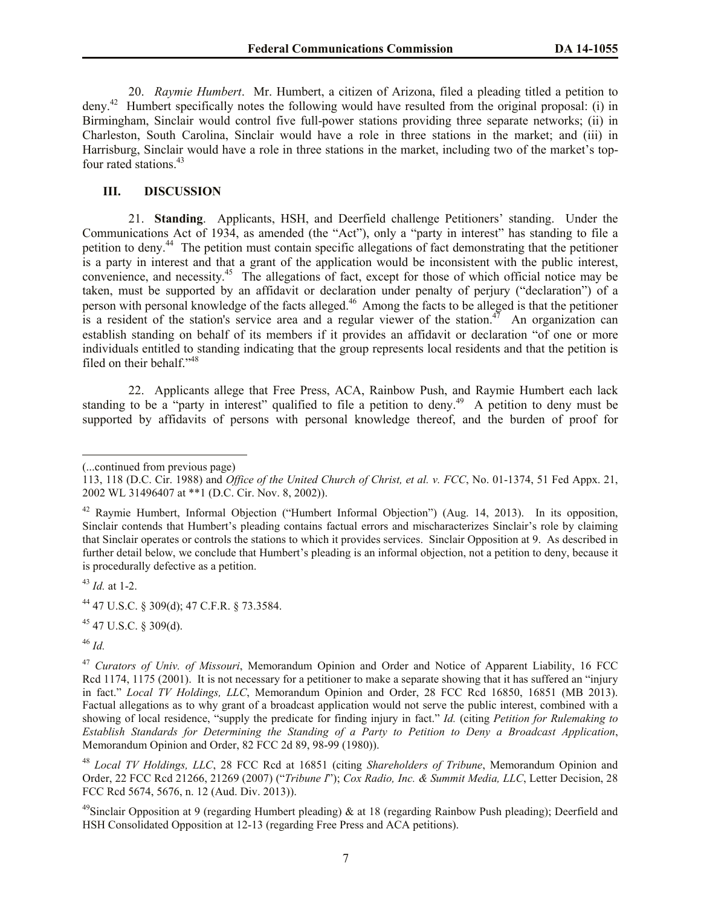20. *Raymie Humbert*. Mr. Humbert, a citizen of Arizona, filed a pleading titled a petition to deny.<sup>42</sup> Humbert specifically notes the following would have resulted from the original proposal: (i) in Birmingham, Sinclair would control five full-power stations providing three separate networks; (ii) in Charleston, South Carolina, Sinclair would have a role in three stations in the market; and (iii) in Harrisburg, Sinclair would have a role in three stations in the market, including two of the market's topfour rated stations.<sup>43</sup>

### **III. DISCUSSION**

21. **Standing**. Applicants, HSH, and Deerfield challenge Petitioners' standing. Under the Communications Act of 1934, as amended (the "Act"), only a "party in interest" has standing to file a petition to deny.<sup>44</sup> The petition must contain specific allegations of fact demonstrating that the petitioner is a party in interest and that a grant of the application would be inconsistent with the public interest, convenience, and necessity. 45 The allegations of fact, except for those of which official notice may be taken, must be supported by an affidavit or declaration under penalty of perjury ("declaration") of a person with personal knowledge of the facts alleged.<sup>46</sup> Among the facts to be alleged is that the petitioner is a resident of the station's service area and a regular viewer of the station.<sup>47</sup> An organization can establish standing on behalf of its members if it provides an affidavit or declaration "of one or more individuals entitled to standing indicating that the group represents local residents and that the petition is filed on their behalf."<sup>48</sup>

22. Applicants allege that Free Press, ACA, Rainbow Push, and Raymie Humbert each lack standing to be a "party in interest" qualified to file a petition to deny.<sup>49</sup> A petition to deny must be supported by affidavits of persons with personal knowledge thereof, and the burden of proof for

<sup>43</sup> *Id.* at 1-2.

<sup>45</sup> 47 U.S.C. § 309(d).

<sup>46</sup> *Id.*

<sup>(...</sup>continued from previous page)

<sup>113, 118 (</sup>D.C. Cir. 1988) and *Office of the United Church of Christ, et al. v. FCC*, No. 01-1374, 51 Fed Appx. 21, 2002 WL 31496407 at \*\*1 (D.C. Cir. Nov. 8, 2002)).

<sup>42</sup> Raymie Humbert, Informal Objection ("Humbert Informal Objection") (Aug. 14, 2013). In its opposition, Sinclair contends that Humbert's pleading contains factual errors and mischaracterizes Sinclair's role by claiming that Sinclair operates or controls the stations to which it provides services. Sinclair Opposition at 9. As described in further detail below, we conclude that Humbert's pleading is an informal objection, not a petition to deny, because it is procedurally defective as a petition.

<sup>44</sup> 47 U.S.C. § 309(d); 47 C.F.R. § 73.3584.

<sup>47</sup> *Curators of Univ. of Missouri*, Memorandum Opinion and Order and Notice of Apparent Liability, 16 FCC Rcd 1174, 1175 (2001). It is not necessary for a petitioner to make a separate showing that it has suffered an "injury in fact." *Local TV Holdings, LLC*, Memorandum Opinion and Order, 28 FCC Rcd 16850, 16851 (MB 2013). Factual allegations as to why grant of a broadcast application would not serve the public interest, combined with a showing of local residence, "supply the predicate for finding injury in fact." *Id.* (citing *Petition for Rulemaking to Establish Standards for Determining the Standing of a Party to Petition to Deny a Broadcast Application*, Memorandum Opinion and Order, 82 FCC 2d 89, 98-99 (1980)).

<sup>48</sup> *Local TV Holdings, LLC*, 28 FCC Rcd at 16851 (citing *Shareholders of Tribune*, Memorandum Opinion and Order, 22 FCC Rcd 21266, 21269 (2007) ("*Tribune I*"); *Cox Radio, Inc. & Summit Media, LLC*, Letter Decision, 28 FCC Rcd 5674, 5676, n. 12 (Aud. Div. 2013)).

<sup>&</sup>lt;sup>49</sup>Sinclair Opposition at 9 (regarding Humbert pleading) & at 18 (regarding Rainbow Push pleading); Deerfield and HSH Consolidated Opposition at 12-13 (regarding Free Press and ACA petitions).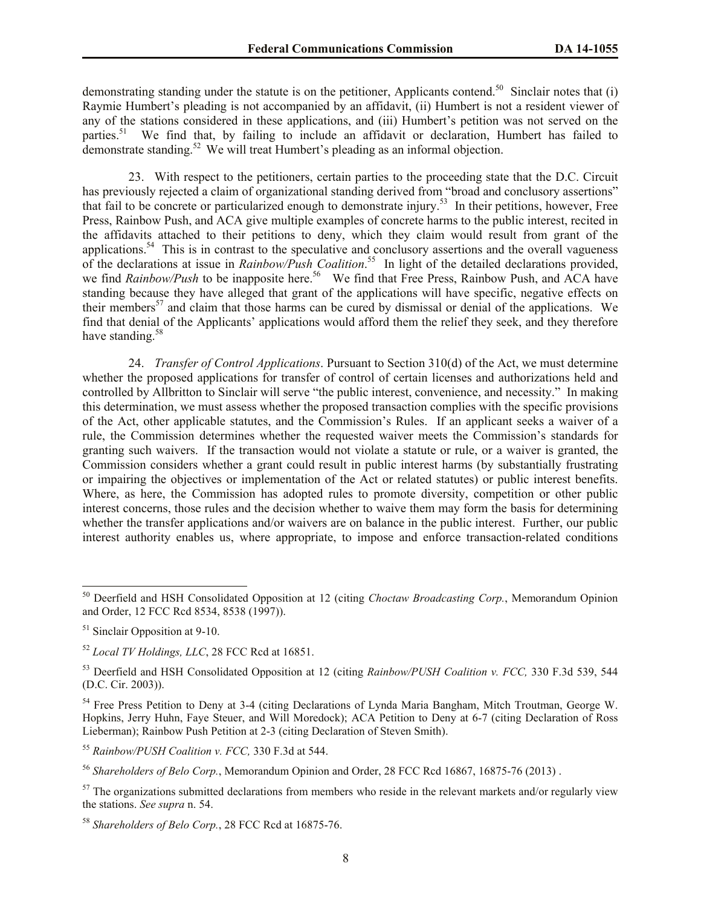demonstrating standing under the statute is on the petitioner, Applicants contend.<sup>50</sup> Sinclair notes that (i) Raymie Humbert's pleading is not accompanied by an affidavit, (ii) Humbert is not a resident viewer of any of the stations considered in these applications, and (iii) Humbert's petition was not served on the parties.<sup>51</sup> We find that, by failing to include an affidavit or declaration, Humbert has failed to demonstrate standing.<sup>52</sup> We will treat Humbert's pleading as an informal objection.

23. With respect to the petitioners, certain parties to the proceeding state that the D.C. Circuit has previously rejected a claim of organizational standing derived from "broad and conclusory assertions" that fail to be concrete or particularized enough to demonstrate injury.<sup>53</sup> In their petitions, however, Free Press, Rainbow Push, and ACA give multiple examples of concrete harms to the public interest, recited in the affidavits attached to their petitions to deny, which they claim would result from grant of the applications.<sup>54</sup> This is in contrast to the speculative and conclusory assertions and the overall vagueness of the declarations at issue in *Rainbow/Push Coalition*. 55 In light of the detailed declarations provided, we find *Rainbow/Push* to be inapposite here.<sup>56</sup> We find that Free Press, Rainbow Push, and ACA have standing because they have alleged that grant of the applications will have specific, negative effects on their members<sup>57</sup> and claim that those harms can be cured by dismissal or denial of the applications. We find that denial of the Applicants' applications would afford them the relief they seek, and they therefore have standing.<sup>58</sup>

24. *Transfer of Control Applications*. Pursuant to Section 310(d) of the Act, we must determine whether the proposed applications for transfer of control of certain licenses and authorizations held and controlled by Allbritton to Sinclair will serve "the public interest, convenience, and necessity." In making this determination, we must assess whether the proposed transaction complies with the specific provisions of the Act, other applicable statutes, and the Commission's Rules. If an applicant seeks a waiver of a rule, the Commission determines whether the requested waiver meets the Commission's standards for granting such waivers. If the transaction would not violate a statute or rule, or a waiver is granted, the Commission considers whether a grant could result in public interest harms (by substantially frustrating or impairing the objectives or implementation of the Act or related statutes) or public interest benefits. Where, as here, the Commission has adopted rules to promote diversity, competition or other public interest concerns, those rules and the decision whether to waive them may form the basis for determining whether the transfer applications and/or waivers are on balance in the public interest. Further, our public interest authority enables us, where appropriate, to impose and enforce transaction-related conditions

 $\overline{a}$ 

<sup>55</sup> *Rainbow/PUSH Coalition v. FCC,* 330 F.3d at 544.

<sup>56</sup> *Shareholders of Belo Corp.*, Memorandum Opinion and Order, 28 FCC Rcd 16867, 16875-76 (2013) .

<sup>50</sup> Deerfield and HSH Consolidated Opposition at 12 (citing *Choctaw Broadcasting Corp.*, Memorandum Opinion and Order, 12 FCC Rcd 8534, 8538 (1997)).

<sup>&</sup>lt;sup>51</sup> Sinclair Opposition at 9-10.

<sup>52</sup> *Local TV Holdings, LLC*, 28 FCC Rcd at 16851.

<sup>53</sup> Deerfield and HSH Consolidated Opposition at 12 (citing *Rainbow/PUSH Coalition v. FCC,* 330 F.3d 539, 544 (D.C. Cir. 2003)).

<sup>54</sup> Free Press Petition to Deny at 3-4 (citing Declarations of Lynda Maria Bangham, Mitch Troutman, George W. Hopkins, Jerry Huhn, Faye Steuer, and Will Moredock); ACA Petition to Deny at 6-7 (citing Declaration of Ross Lieberman); Rainbow Push Petition at 2-3 (citing Declaration of Steven Smith).

 $57$  The organizations submitted declarations from members who reside in the relevant markets and/or regularly view the stations. *See supra* n. 54.

<sup>58</sup> *Shareholders of Belo Corp.*, 28 FCC Rcd at 16875-76.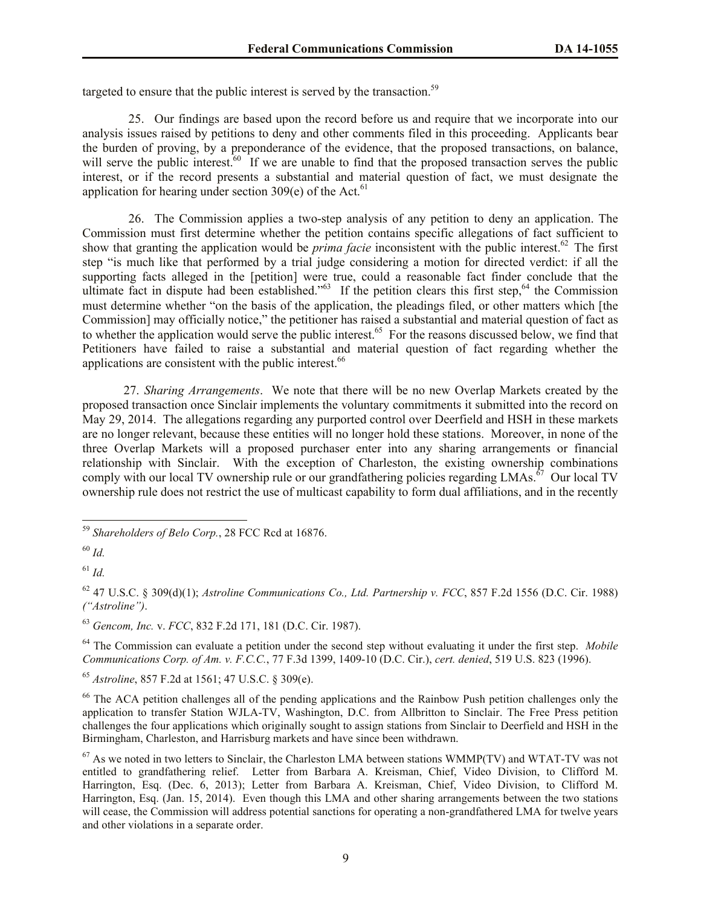targeted to ensure that the public interest is served by the transaction.<sup>59</sup>

25. Our findings are based upon the record before us and require that we incorporate into our analysis issues raised by petitions to deny and other comments filed in this proceeding. Applicants bear the burden of proving, by a preponderance of the evidence, that the proposed transactions, on balance, will serve the public interest.<sup>60</sup> If we are unable to find that the proposed transaction serves the public interest, or if the record presents a substantial and material question of fact, we must designate the application for hearing under section 309(e) of the Act.<sup>61</sup>

26. The Commission applies a two-step analysis of any petition to deny an application. The Commission must first determine whether the petition contains specific allegations of fact sufficient to show that granting the application would be *prima facie* inconsistent with the public interest.<sup>62</sup> The first step "is much like that performed by a trial judge considering a motion for directed verdict: if all the supporting facts alleged in the [petition] were true, could a reasonable fact finder conclude that the ultimate fact in dispute had been established."<sup>63</sup> If the petition clears this first step,<sup>64</sup> the Commission must determine whether "on the basis of the application, the pleadings filed, or other matters which [the Commission] may officially notice," the petitioner has raised a substantial and material question of fact as to whether the application would serve the public interest.<sup>65</sup> For the reasons discussed below, we find that Petitioners have failed to raise a substantial and material question of fact regarding whether the applications are consistent with the public interest.<sup>66</sup>

27. *Sharing Arrangements*. We note that there will be no new Overlap Markets created by the proposed transaction once Sinclair implements the voluntary commitments it submitted into the record on May 29, 2014. The allegations regarding any purported control over Deerfield and HSH in these markets are no longer relevant, because these entities will no longer hold these stations. Moreover, in none of the three Overlap Markets will a proposed purchaser enter into any sharing arrangements or financial relationship with Sinclair. With the exception of Charleston, the existing ownership combinations comply with our local TV ownership rule or our grandfathering policies regarding LMAs.<sup>67</sup> Our local TV ownership rule does not restrict the use of multicast capability to form dual affiliations, and in the recently

 $\overline{a}$ 

<sup>62</sup> 47 U.S.C. § 309(d)(1); *Astroline Communications Co., Ltd. Partnership v. FCC*, 857 F.2d 1556 (D.C. Cir. 1988) *("Astroline")*.

<sup>63</sup> *Gencom, Inc.* v. *FCC*, 832 F.2d 171, 181 (D.C. Cir. 1987).

<sup>64</sup> The Commission can evaluate a petition under the second step without evaluating it under the first step. *Mobile Communications Corp. of Am. v. F.C.C.*, 77 F.3d 1399, 1409-10 (D.C. Cir.), *cert. denied*, 519 U.S. 823 (1996).

<sup>65</sup> *Astroline*, 857 F.2d at 1561; 47 U.S.C. § 309(e).

<sup>66</sup> The ACA petition challenges all of the pending applications and the Rainbow Push petition challenges only the application to transfer Station WJLA-TV, Washington, D.C. from Allbritton to Sinclair. The Free Press petition challenges the four applications which originally sought to assign stations from Sinclair to Deerfield and HSH in the Birmingham, Charleston, and Harrisburg markets and have since been withdrawn.

<sup>59</sup> *Shareholders of Belo Corp.*, 28 FCC Rcd at 16876.

<sup>60</sup> *Id.*

<sup>61</sup> *Id.*

 $67$  As we noted in two letters to Sinclair, the Charleston LMA between stations WMMP(TV) and WTAT-TV was not entitled to grandfathering relief. Letter from Barbara A. Kreisman, Chief, Video Division, to Clifford M. Harrington, Esq. (Dec. 6, 2013); Letter from Barbara A. Kreisman, Chief, Video Division, to Clifford M. Harrington, Esq. (Jan. 15, 2014). Even though this LMA and other sharing arrangements between the two stations will cease, the Commission will address potential sanctions for operating a non-grandfathered LMA for twelve years and other violations in a separate order.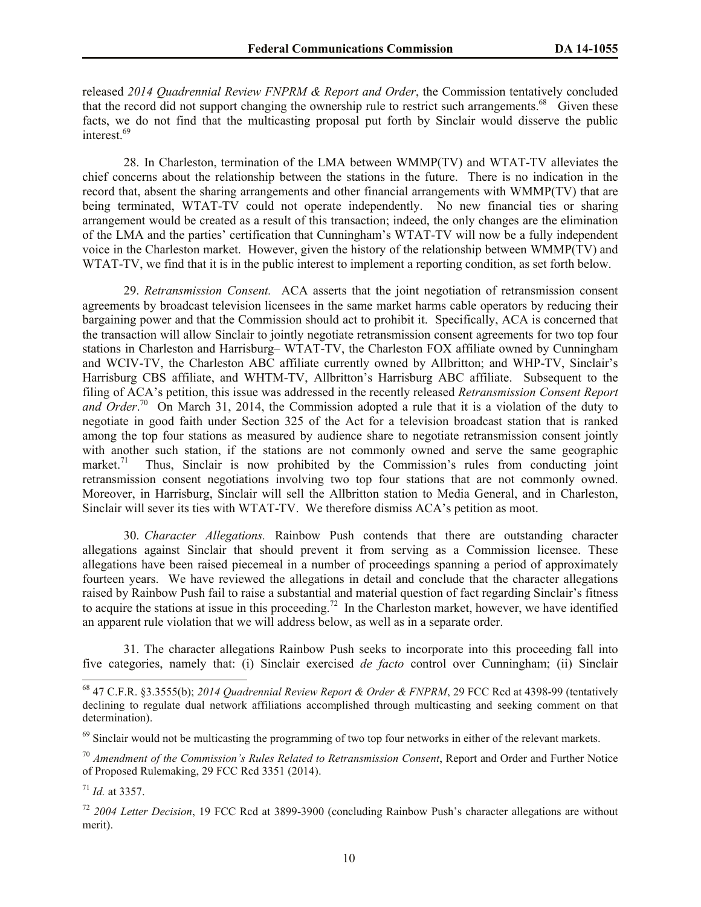released *2014 Quadrennial Review FNPRM & Report and Order*, the Commission tentatively concluded that the record did not support changing the ownership rule to restrict such arrangements.<sup>68</sup> Given these facts, we do not find that the multicasting proposal put forth by Sinclair would disserve the public interest.<sup>69</sup>

28. In Charleston, termination of the LMA between WMMP(TV) and WTAT-TV alleviates the chief concerns about the relationship between the stations in the future. There is no indication in the record that, absent the sharing arrangements and other financial arrangements with WMMP(TV) that are being terminated, WTAT-TV could not operate independently. No new financial ties or sharing arrangement would be created as a result of this transaction; indeed, the only changes are the elimination of the LMA and the parties' certification that Cunningham's WTAT-TV will now be a fully independent voice in the Charleston market. However, given the history of the relationship between WMMP(TV) and WTAT-TV, we find that it is in the public interest to implement a reporting condition, as set forth below.

29. *Retransmission Consent.* ACA asserts that the joint negotiation of retransmission consent agreements by broadcast television licensees in the same market harms cable operators by reducing their bargaining power and that the Commission should act to prohibit it. Specifically, ACA is concerned that the transaction will allow Sinclair to jointly negotiate retransmission consent agreements for two top four stations in Charleston and Harrisburg– WTAT-TV, the Charleston FOX affiliate owned by Cunningham and WCIV-TV, the Charleston ABC affiliate currently owned by Allbritton; and WHP-TV, Sinclair's Harrisburg CBS affiliate, and WHTM-TV, Allbritton's Harrisburg ABC affiliate. Subsequent to the filing of ACA's petition, this issue was addressed in the recently released *Retransmission Consent Report*  and Order.<sup>70</sup> On March 31, 2014, the Commission adopted a rule that it is a violation of the duty to negotiate in good faith under Section 325 of the Act for a television broadcast station that is ranked among the top four stations as measured by audience share to negotiate retransmission consent jointly with another such station, if the stations are not commonly owned and serve the same geographic market. 71 Thus, Sinclair is now prohibited by the Commission's rules from conducting joint retransmission consent negotiations involving two top four stations that are not commonly owned. Moreover, in Harrisburg, Sinclair will sell the Allbritton station to Media General, and in Charleston, Sinclair will sever its ties with WTAT-TV. We therefore dismiss ACA's petition as moot.

30. *Character Allegations.* Rainbow Push contends that there are outstanding character allegations against Sinclair that should prevent it from serving as a Commission licensee. These allegations have been raised piecemeal in a number of proceedings spanning a period of approximately fourteen years. We have reviewed the allegations in detail and conclude that the character allegations raised by Rainbow Push fail to raise a substantial and material question of fact regarding Sinclair's fitness to acquire the stations at issue in this proceeding.<sup>72</sup> In the Charleston market, however, we have identified an apparent rule violation that we will address below, as well as in a separate order.

31. The character allegations Rainbow Push seeks to incorporate into this proceeding fall into five categories, namely that: (i) Sinclair exercised *de facto* control over Cunningham; (ii) Sinclair

<sup>68</sup> 47 C.F.R. §3.3555(b); *2014 Quadrennial Review Report & Order & FNPRM*, 29 FCC Rcd at 4398-99 (tentatively declining to regulate dual network affiliations accomplished through multicasting and seeking comment on that determination).

<sup>&</sup>lt;sup>69</sup> Sinclair would not be multicasting the programming of two top four networks in either of the relevant markets.

<sup>70</sup> *Amendment of the Commission's Rules Related to Retransmission Consent*, Report and Order and Further Notice of Proposed Rulemaking, 29 FCC Rcd 3351 (2014).

<sup>71</sup> *Id.* at 3357.

<sup>72</sup> *2004 Letter Decision*, 19 FCC Rcd at 3899-3900 (concluding Rainbow Push's character allegations are without merit).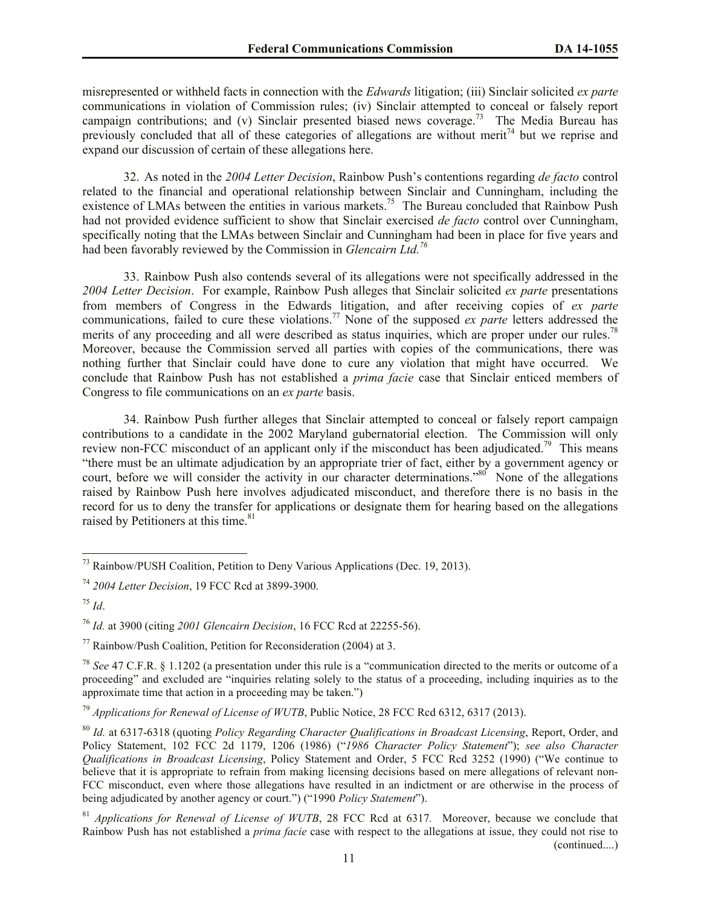misrepresented or withheld facts in connection with the *Edwards* litigation; (iii) Sinclair solicited *ex parte* communications in violation of Commission rules; (iv) Sinclair attempted to conceal or falsely report campaign contributions; and (v) Sinclair presented biased news coverage.<sup>73</sup> The Media Bureau has previously concluded that all of these categories of allegations are without merit<sup>74</sup> but we reprise and expand our discussion of certain of these allegations here.

32. As noted in the *2004 Letter Decision*, Rainbow Push's contentions regarding *de facto* control related to the financial and operational relationship between Sinclair and Cunningham, including the existence of LMAs between the entities in various markets.<sup>75</sup> The Bureau concluded that Rainbow Push had not provided evidence sufficient to show that Sinclair exercised *de facto* control over Cunningham, specifically noting that the LMAs between Sinclair and Cunningham had been in place for five years and had been favorably reviewed by the Commission in *Glencairn Ltd.<sup>76</sup>* 

33. Rainbow Push also contends several of its allegations were not specifically addressed in the *2004 Letter Decision*. For example, Rainbow Push alleges that Sinclair solicited *ex parte* presentations from members of Congress in the Edwards litigation, and after receiving copies of *ex parte*  communications, failed to cure these violations.<sup>77</sup> None of the supposed *ex parte* letters addressed the merits of any proceeding and all were described as status inquiries, which are proper under our rules.<sup>78</sup> Moreover, because the Commission served all parties with copies of the communications, there was nothing further that Sinclair could have done to cure any violation that might have occurred. We conclude that Rainbow Push has not established a *prima facie* case that Sinclair enticed members of Congress to file communications on an *ex parte* basis.

34. Rainbow Push further alleges that Sinclair attempted to conceal or falsely report campaign contributions to a candidate in the 2002 Maryland gubernatorial election. The Commission will only review non-FCC misconduct of an applicant only if the misconduct has been adjudicated.<sup>79</sup> This means "there must be an ultimate adjudication by an appropriate trier of fact, either by a government agency or court, before we will consider the activity in our character determinations."<sup>80</sup> None of the allegations raised by Rainbow Push here involves adjudicated misconduct, and therefore there is no basis in the record for us to deny the transfer for applications or designate them for hearing based on the allegations raised by Petitioners at this time.<sup>81</sup>

l

 $^{73}$  Rainbow/PUSH Coalition, Petition to Deny Various Applications (Dec. 19, 2013).

<sup>74</sup> *2004 Letter Decision*, 19 FCC Rcd at 3899-3900.

 $^{75}$  *Id.* 

<sup>76</sup> *Id.* at 3900 (citing *2001 Glencairn Decision*, 16 FCC Rcd at 22255-56).

<sup>&</sup>lt;sup>77</sup> Rainbow/Push Coalition, Petition for Reconsideration (2004) at 3.

<sup>78</sup> *See* 47 C.F.R. § 1.1202 (a presentation under this rule is a "communication directed to the merits or outcome of a proceeding" and excluded are "inquiries relating solely to the status of a proceeding, including inquiries as to the approximate time that action in a proceeding may be taken.")

<sup>79</sup> *Applications for Renewal of License of WUTB*, Public Notice, 28 FCC Rcd 6312, 6317 (2013).

<sup>80</sup> *Id.* at 6317-6318 (quoting *Policy Regarding Character Qualifications in Broadcast Licensing*, Report, Order, and Policy Statement, 102 FCC 2d 1179, 1206 (1986) ("*1986 Character Policy Statement*"); *see also Character Qualifications in Broadcast Licensing*, Policy Statement and Order, 5 FCC Rcd 3252 (1990) ("We continue to believe that it is appropriate to refrain from making licensing decisions based on mere allegations of relevant non-FCC misconduct, even where those allegations have resulted in an indictment or are otherwise in the process of being adjudicated by another agency or court.") ("1990 *Policy Statement*").

<sup>81</sup> *Applications for Renewal of License of WUTB*, 28 FCC Rcd at 6317*.* Moreover, because we conclude that Rainbow Push has not established a *prima facie* case with respect to the allegations at issue, they could not rise to (continued....)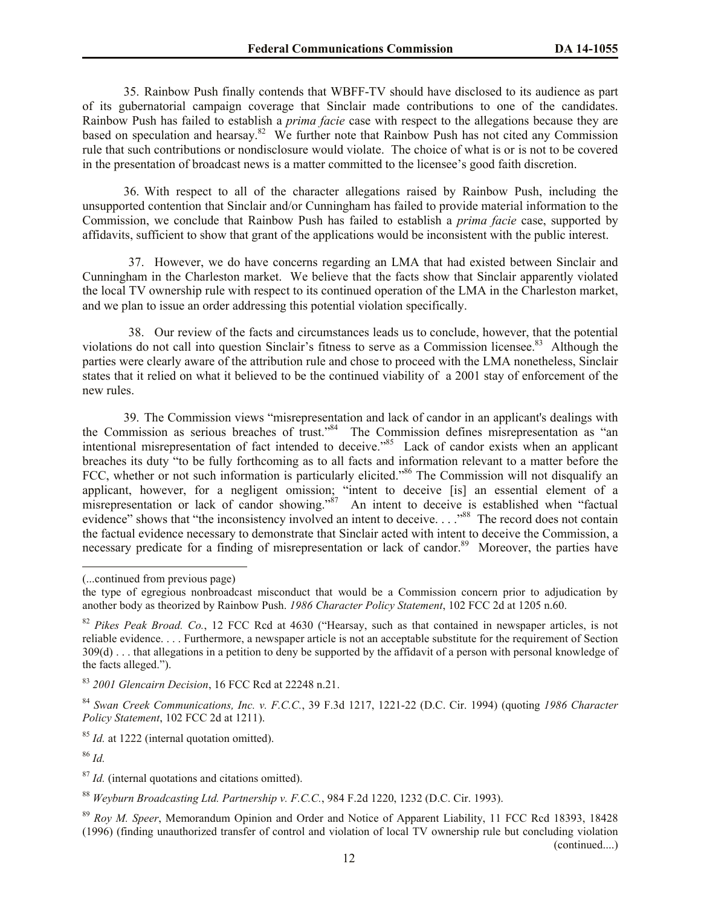35. Rainbow Push finally contends that WBFF-TV should have disclosed to its audience as part of its gubernatorial campaign coverage that Sinclair made contributions to one of the candidates. Rainbow Push has failed to establish a *prima facie* case with respect to the allegations because they are based on speculation and hearsay.<sup>82</sup> We further note that Rainbow Push has not cited any Commission rule that such contributions or nondisclosure would violate. The choice of what is or is not to be covered in the presentation of broadcast news is a matter committed to the licensee's good faith discretion.

36. With respect to all of the character allegations raised by Rainbow Push, including the unsupported contention that Sinclair and/or Cunningham has failed to provide material information to the Commission, we conclude that Rainbow Push has failed to establish a *prima facie* case, supported by affidavits, sufficient to show that grant of the applications would be inconsistent with the public interest.

37. However, we do have concerns regarding an LMA that had existed between Sinclair and Cunningham in the Charleston market. We believe that the facts show that Sinclair apparently violated the local TV ownership rule with respect to its continued operation of the LMA in the Charleston market, and we plan to issue an order addressing this potential violation specifically.

38. Our review of the facts and circumstances leads us to conclude, however, that the potential violations do not call into question Sinclair's fitness to serve as a Commission licensee.<sup>83</sup> Although the parties were clearly aware of the attribution rule and chose to proceed with the LMA nonetheless, Sinclair states that it relied on what it believed to be the continued viability of a 2001 stay of enforcement of the new rules.

39. The Commission views "misrepresentation and lack of candor in an applicant's dealings with the Commission as serious breaches of trust."<sup>84</sup> The Commission defines misrepresentation as "an intentional misrepresentation of fact intended to deceive."<sup>85</sup> Lack of candor exists when an applicant breaches its duty "to be fully forthcoming as to all facts and information relevant to a matter before the FCC, whether or not such information is particularly elicited.<sup>86</sup> The Commission will not disqualify an applicant, however, for a negligent omission; "intent to deceive [is] an essential element of a misrepresentation or lack of candor showing."<sup> $\delta$ 7</sup> An intent to deceive is established when "factual evidence" shows that "the inconsistency involved an intent to deceive...."<sup>88</sup> The record does not contain the factual evidence necessary to demonstrate that Sinclair acted with intent to deceive the Commission, a necessary predicate for a finding of misrepresentation or lack of candor.<sup>89</sup> Moreover, the parties have

<sup>85</sup> *Id.* at 1222 (internal quotation omitted).

<sup>86</sup> *Id.*

 $\overline{a}$ 

<sup>87</sup> *Id.* (internal quotations and citations omitted).

<sup>88</sup> *Weyburn Broadcasting Ltd. Partnership v. F.C.C.*, 984 F.2d 1220, 1232 (D.C. Cir. 1993).

<sup>(...</sup>continued from previous page)

the type of egregious nonbroadcast misconduct that would be a Commission concern prior to adjudication by another body as theorized by Rainbow Push. *1986 Character Policy Statement*, 102 FCC 2d at 1205 n.60.

<sup>82</sup> *Pikes Peak Broad. Co.*, 12 FCC Rcd at 4630 ("Hearsay, such as that contained in newspaper articles, is not reliable evidence. . . . Furthermore, a newspaper article is not an acceptable substitute for the requirement of Section 309(d) . . . that allegations in a petition to deny be supported by the affidavit of a person with personal knowledge of the facts alleged.").

<sup>83</sup> *2001 Glencairn Decision*, 16 FCC Rcd at 22248 n.21.

<sup>84</sup> *Swan Creek Communications, Inc. v. F.C.C.*, 39 F.3d 1217, 1221-22 (D.C. Cir. 1994) (quoting *1986 Character Policy Statement*, 102 FCC 2d at 1211).

<sup>89</sup> *Roy M. Speer*, Memorandum Opinion and Order and Notice of Apparent Liability, 11 FCC Rcd 18393, 18428 (1996) (finding unauthorized transfer of control and violation of local TV ownership rule but concluding violation (continued....)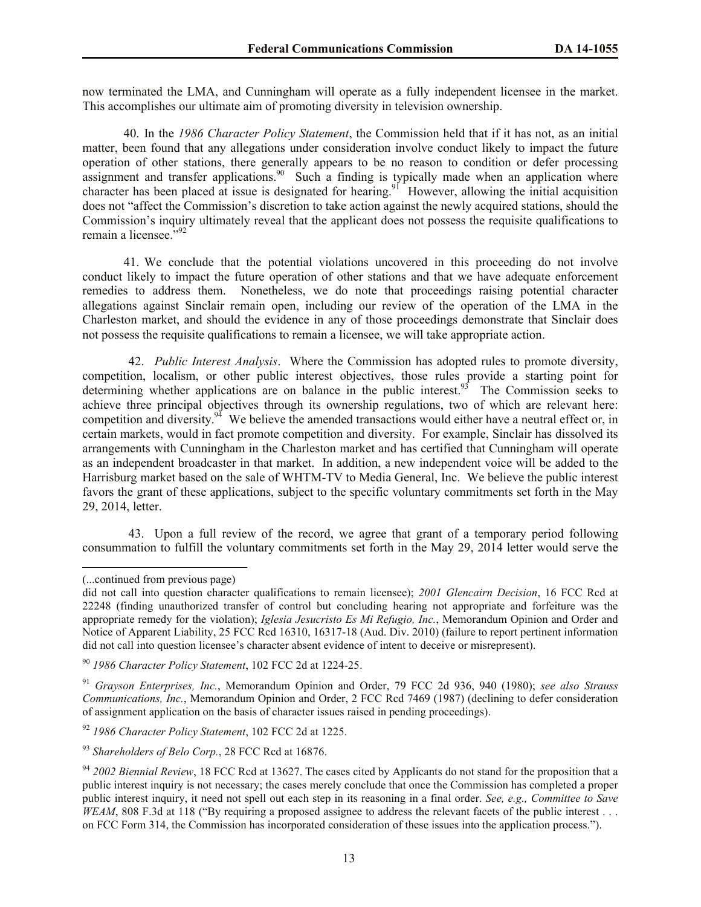now terminated the LMA, and Cunningham will operate as a fully independent licensee in the market. This accomplishes our ultimate aim of promoting diversity in television ownership.

40. In the *1986 Character Policy Statement*, the Commission held that if it has not, as an initial matter, been found that any allegations under consideration involve conduct likely to impact the future operation of other stations, there generally appears to be no reason to condition or defer processing assignment and transfer applications.<sup>90</sup> Such a finding is typically made when an application where character has been placed at issue is designated for hearing.<sup>91</sup> However, allowing the initial acquisition does not "affect the Commission's discretion to take action against the newly acquired stations, should the Commission's inquiry ultimately reveal that the applicant does not possess the requisite qualifications to remain a licensee.<sup>592</sup>

41. We conclude that the potential violations uncovered in this proceeding do not involve conduct likely to impact the future operation of other stations and that we have adequate enforcement remedies to address them. Nonetheless, we do note that proceedings raising potential character allegations against Sinclair remain open, including our review of the operation of the LMA in the Charleston market, and should the evidence in any of those proceedings demonstrate that Sinclair does not possess the requisite qualifications to remain a licensee, we will take appropriate action.

42. *Public Interest Analysis*. Where the Commission has adopted rules to promote diversity, competition, localism, or other public interest objectives, those rules provide a starting point for determining whether applications are on balance in the public interest.<sup>93</sup> The Commission seeks to achieve three principal objectives through its ownership regulations, two of which are relevant here: competition and diversity.<sup>94</sup> We believe the amended transactions would either have a neutral effect or, in certain markets, would in fact promote competition and diversity. For example, Sinclair has dissolved its arrangements with Cunningham in the Charleston market and has certified that Cunningham will operate as an independent broadcaster in that market. In addition, a new independent voice will be added to the Harrisburg market based on the sale of WHTM-TV to Media General, Inc. We believe the public interest favors the grant of these applications, subject to the specific voluntary commitments set forth in the May 29, 2014, letter.

43. Upon a full review of the record, we agree that grant of a temporary period following consummation to fulfill the voluntary commitments set forth in the May 29, 2014 letter would serve the

l

<sup>(...</sup>continued from previous page)

did not call into question character qualifications to remain licensee); *2001 Glencairn Decision*, 16 FCC Rcd at 22248 (finding unauthorized transfer of control but concluding hearing not appropriate and forfeiture was the appropriate remedy for the violation); *Iglesia Jesucristo Es Mi Refugio, Inc.*, Memorandum Opinion and Order and Notice of Apparent Liability, 25 FCC Rcd 16310, 16317-18 (Aud. Div. 2010) (failure to report pertinent information did not call into question licensee's character absent evidence of intent to deceive or misrepresent).

<sup>90</sup> *1986 Character Policy Statement*, 102 FCC 2d at 1224-25.

<sup>91</sup> *Grayson Enterprises, Inc.*, Memorandum Opinion and Order, 79 FCC 2d 936, 940 (1980); *see also Strauss Communications, Inc.*, Memorandum Opinion and Order, 2 FCC Rcd 7469 (1987) (declining to defer consideration of assignment application on the basis of character issues raised in pending proceedings).

<sup>92</sup> *1986 Character Policy Statement*, 102 FCC 2d at 1225.

<sup>93</sup> *Shareholders of Belo Corp.*, 28 FCC Rcd at 16876.

<sup>&</sup>lt;sup>94</sup> 2002 Biennial Review, 18 FCC Rcd at 13627. The cases cited by Applicants do not stand for the proposition that a public interest inquiry is not necessary; the cases merely conclude that once the Commission has completed a proper public interest inquiry, it need not spell out each step in its reasoning in a final order. *See, e.g., Committee to Save WEAM*, 808 F.3d at 118 ("By requiring a proposed assignee to address the relevant facets of the public interest . . . on FCC Form 314, the Commission has incorporated consideration of these issues into the application process.").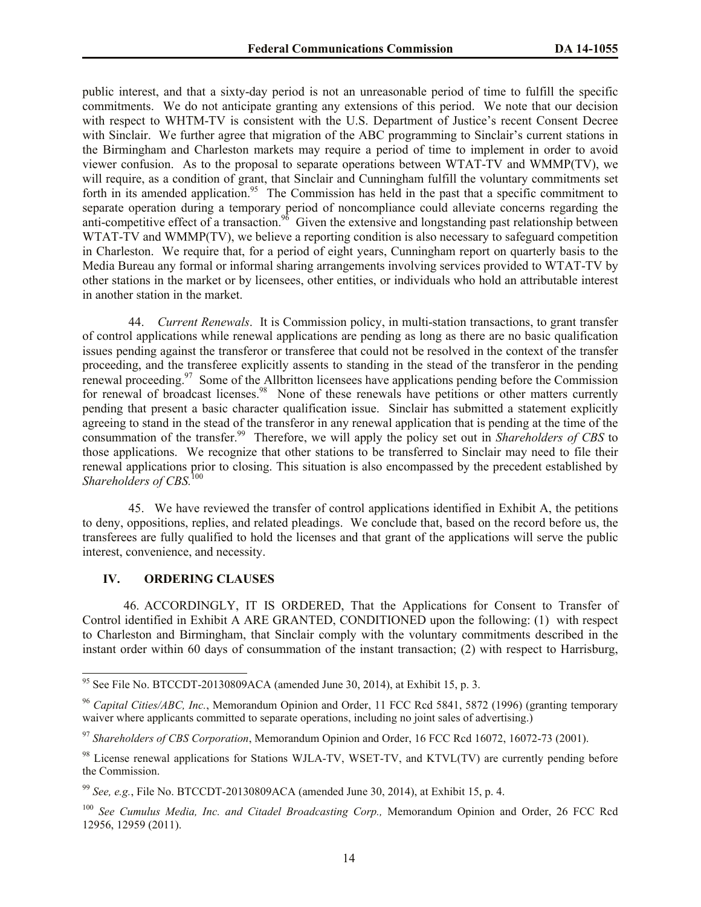public interest, and that a sixty-day period is not an unreasonable period of time to fulfill the specific commitments. We do not anticipate granting any extensions of this period. We note that our decision with respect to WHTM-TV is consistent with the U.S. Department of Justice's recent Consent Decree with Sinclair. We further agree that migration of the ABC programming to Sinclair's current stations in the Birmingham and Charleston markets may require a period of time to implement in order to avoid viewer confusion. As to the proposal to separate operations between WTAT-TV and WMMP(TV), we will require, as a condition of grant, that Sinclair and Cunningham fulfill the voluntary commitments set forth in its amended application.<sup>95</sup> The Commission has held in the past that a specific commitment to separate operation during a temporary period of noncompliance could alleviate concerns regarding the anti-competitive effect of a transaction.<sup>96</sup> Given the extensive and longstanding past relationship between WTAT-TV and WMMP(TV), we believe a reporting condition is also necessary to safeguard competition in Charleston. We require that, for a period of eight years, Cunningham report on quarterly basis to the Media Bureau any formal or informal sharing arrangements involving services provided to WTAT-TV by other stations in the market or by licensees, other entities, or individuals who hold an attributable interest in another station in the market.

44. *Current Renewals*. It is Commission policy, in multi-station transactions, to grant transfer of control applications while renewal applications are pending as long as there are no basic qualification issues pending against the transferor or transferee that could not be resolved in the context of the transfer proceeding, and the transferee explicitly assents to standing in the stead of the transferor in the pending renewal proceeding.<sup>97</sup> Some of the Allbritton licensees have applications pending before the Commission for renewal of broadcast licenses.<sup>98</sup> None of these renewals have petitions or other matters currently pending that present a basic character qualification issue. Sinclair has submitted a statement explicitly agreeing to stand in the stead of the transferor in any renewal application that is pending at the time of the consummation of the transfer.<sup>99</sup> Therefore, we will apply the policy set out in *Shareholders of CBS* to those applications. We recognize that other stations to be transferred to Sinclair may need to file their renewal applications prior to closing. This situation is also encompassed by the precedent established by *Shareholders of CBS.*<sup>100</sup>

45. We have reviewed the transfer of control applications identified in Exhibit A, the petitions to deny, oppositions, replies, and related pleadings. We conclude that, based on the record before us, the transferees are fully qualified to hold the licenses and that grant of the applications will serve the public interest, convenience, and necessity.

### **IV. ORDERING CLAUSES**

 $\overline{\phantom{a}}$ 

46. ACCORDINGLY, IT IS ORDERED, That the Applications for Consent to Transfer of Control identified in Exhibit A ARE GRANTED, CONDITIONED upon the following: (1) with respect to Charleston and Birmingham, that Sinclair comply with the voluntary commitments described in the instant order within 60 days of consummation of the instant transaction; (2) with respect to Harrisburg,

<sup>&</sup>lt;sup>95</sup> See File No. BTCCDT-20130809ACA (amended June 30, 2014), at Exhibit 15, p. 3.

<sup>96</sup> *Capital Cities/ABC, Inc.*, Memorandum Opinion and Order, 11 FCC Rcd 5841, 5872 (1996) (granting temporary waiver where applicants committed to separate operations, including no joint sales of advertising.)

<sup>97</sup> *Shareholders of CBS Corporation*, Memorandum Opinion and Order, 16 FCC Rcd 16072, 16072-73 (2001).

<sup>&</sup>lt;sup>98</sup> License renewal applications for Stations WJLA-TV, WSET-TV, and KTVL(TV) are currently pending before the Commission.

<sup>99</sup> *See, e.g.*, File No. BTCCDT-20130809ACA (amended June 30, 2014), at Exhibit 15, p. 4.

<sup>100</sup> *See Cumulus Media, Inc. and Citadel Broadcasting Corp.,* Memorandum Opinion and Order, 26 FCC Rcd 12956, 12959 (2011).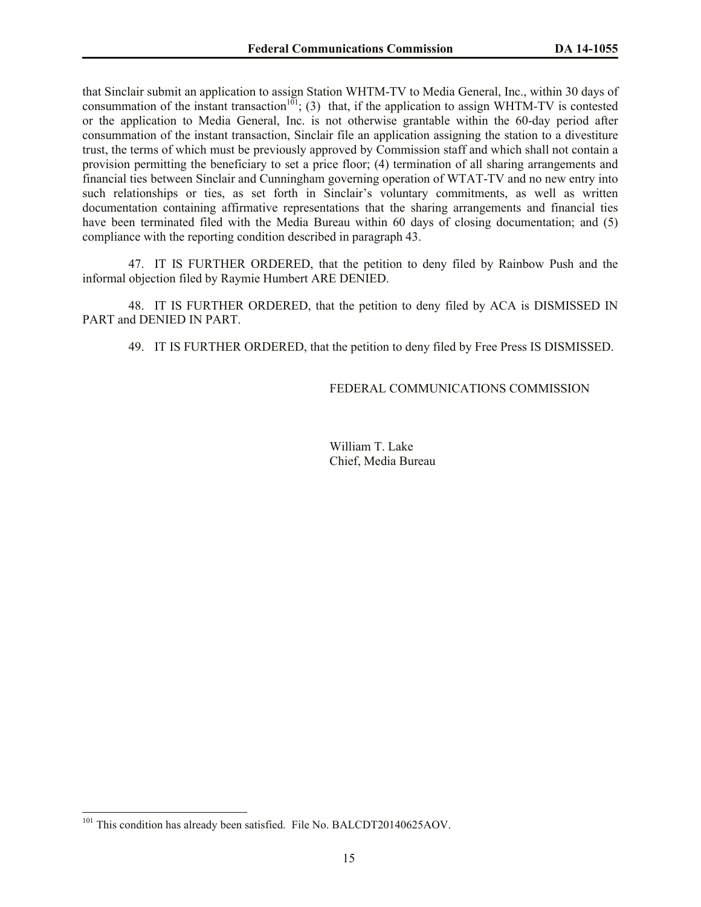that Sinclair submit an application to assign Station WHTM-TV to Media General, Inc., within 30 days of consummation of the instant transaction<sup>101</sup>; (3) that, if the application to assign WHTM-TV is contested or the application to Media General, Inc. is not otherwise grantable within the 60-day period after consummation of the instant transaction, Sinclair file an application assigning the station to a divestiture trust, the terms of which must be previously approved by Commission staff and which shall not contain a provision permitting the beneficiary to set a price floor; (4) termination of all sharing arrangements and financial ties between Sinclair and Cunningham governing operation of WTAT-TV and no new entry into such relationships or ties, as set forth in Sinclair's voluntary commitments, as well as written documentation containing affirmative representations that the sharing arrangements and financial ties have been terminated filed with the Media Bureau within 60 days of closing documentation; and (5) compliance with the reporting condition described in paragraph 43.

47. IT IS FURTHER ORDERED, that the petition to deny filed by Rainbow Push and the informal objection filed by Raymie Humbert ARE DENIED.

48. IT IS FURTHER ORDERED, that the petition to deny filed by ACA is DISMISSED IN PART and DENIED IN PART.

49. IT IS FURTHER ORDERED, that the petition to deny filed by Free Press IS DISMISSED.

FEDERAL COMMUNICATIONS COMMISSION

William T. Lake Chief, Media Bureau

 $\overline{\phantom{a}}$ 

<sup>&</sup>lt;sup>101</sup> This condition has already been satisfied. File No. BALCDT20140625AOV.